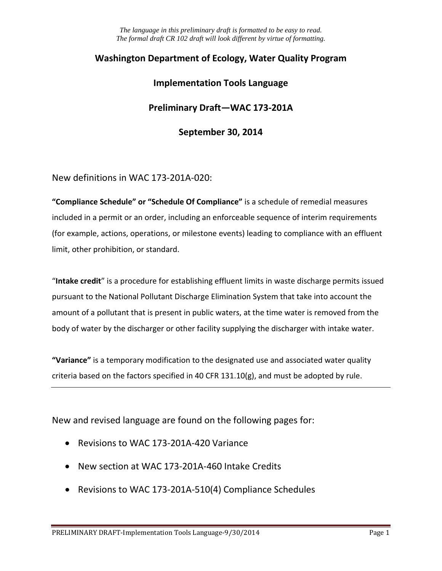# **Washington Department of Ecology, Water Quality Program**

## **Implementation Tools Language**

## **Preliminary Draft—WAC 173-201A**

## **September 30, 2014**

New definitions in WAC 173-201A-020:

**"Compliance Schedule" or "Schedule Of Compliance"** is a schedule of remedial measures included in a permit or an order, including an enforceable sequence of interim requirements (for example, actions, operations, or milestone events) leading to compliance with an effluent limit, other prohibition, or standard.

"**Intake credit**" is a procedure for establishing effluent limits in waste discharge permits issued pursuant to the National Pollutant Discharge Elimination System that take into account the amount of a pollutant that is present in public waters, at the time water is removed from the body of water by the discharger or other facility supplying the discharger with intake water.

**"Variance"** is a temporary modification to the designated use and associated water quality criteria based on the factors specified in 40 CFR  $131.10(g)$ , and must be adopted by rule.

New and revised language are found on the following pages for:

- Revisions to WAC 173-201A-420 Variance
- New section at WAC 173-201A-460 Intake Credits
- Revisions to WAC 173-201A-510(4) Compliance Schedules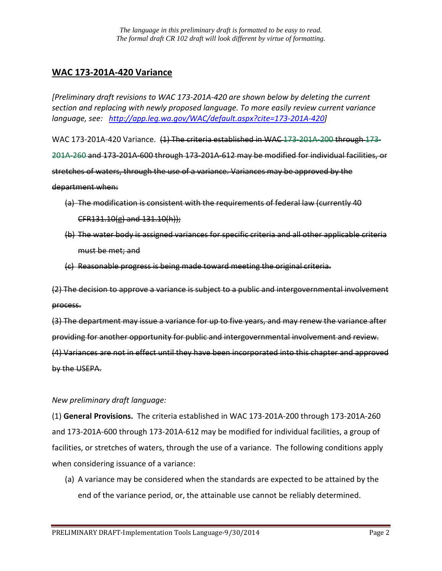## **WAC 173-201A-420 Variance**

*[Preliminary draft revisions to WAC 173-201A-420 are shown below by deleting the current section and replacing with newly proposed language. To more easily review current variance language, see: [http://app.leg.wa.gov/WAC/default.aspx?cite=173-201A-420\]](http://app.leg.wa.gov/WAC/default.aspx?cite=173-201A-420)*

WAC 173-201A-420 Variance. (1) The criteria established in WAC 173-201A-200 through 173-201A-260 and 173-201A-600 through 173-201A-612 may be modified for individual facilities, or stretches of waters, through the use of a variance. Variances may be approved by the department when:

- (a) The modification is consistent with the requirements of federal law (currently 40 CFR131.10(g) and 131.10(h));
- (b) The water body is assigned variances for specific criteria and all other applicable criteria must be met; and
- (c) Reasonable progress is being made toward meeting the original criteria.

(2) The decision to approve a variance is subject to a public and intergovernmental involvement process.

(3) The department may issue a variance for up to five years, and may renew the variance after providing for another opportunity for public and intergovernmental involvement and review. (4) Variances are not in effect until they have been incorporated into this chapter and approved by the USEPA.

#### *New preliminary draft language:*

(1) **General Provisions.** The criteria established in WAC 173-201A-200 through 173-201A-260 and 173-201A-600 through 173-201A-612 may be modified for individual facilities, a group of facilities, or stretches of waters, through the use of a variance. The following conditions apply when considering issuance of a variance:

(a) A variance may be considered when the standards are expected to be attained by the end of the variance period, or, the attainable use cannot be reliably determined.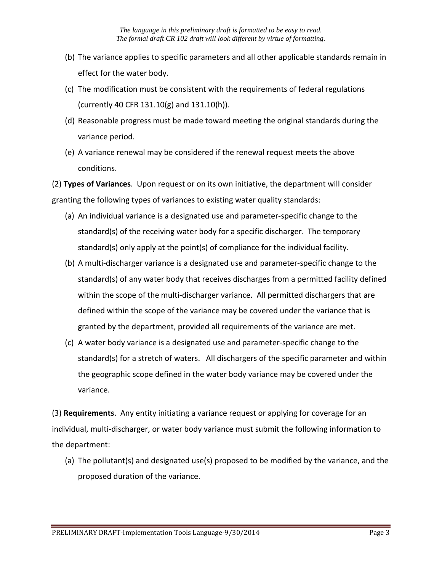- (b) The variance applies to specific parameters and all other applicable standards remain in effect for the water body.
- (c) The modification must be consistent with the requirements of federal regulations (currently 40 CFR 131.10(g) and 131.10(h)).
- (d) Reasonable progress must be made toward meeting the original standards during the variance period.
- (e) A variance renewal may be considered if the renewal request meets the above conditions.

(2) **Types of Variances**. Upon request or on its own initiative, the department will consider granting the following types of variances to existing water quality standards:

- (a) An individual variance is a designated use and parameter-specific change to the standard(s) of the receiving water body for a specific discharger. The temporary standard(s) only apply at the point(s) of compliance for the individual facility.
- (b) A multi-discharger variance is a designated use and parameter-specific change to the standard(s) of any water body that receives discharges from a permitted facility defined within the scope of the multi-discharger variance. All permitted dischargers that are defined within the scope of the variance may be covered under the variance that is granted by the department, provided all requirements of the variance are met.
- (c) A water body variance is a designated use and parameter-specific change to the standard(s) for a stretch of waters. All dischargers of the specific parameter and within the geographic scope defined in the water body variance may be covered under the variance.

(3) **Requirements**. Any entity initiating a variance request or applying for coverage for an individual, multi-discharger, or water body variance must submit the following information to the department:

(a) The pollutant(s) and designated use(s) proposed to be modified by the variance, and the proposed duration of the variance.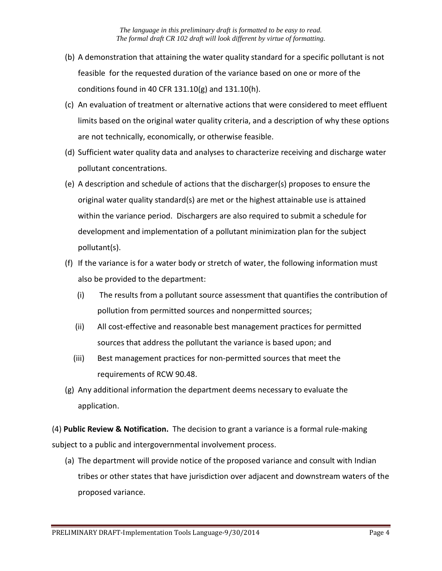- (b) A demonstration that attaining the water quality standard for a specific pollutant is not feasible for the requested duration of the variance based on one or more of the conditions found in 40 CFR 131.10(g) and 131.10(h).
- (c) An evaluation of treatment or alternative actions that were considered to meet effluent limits based on the original water quality criteria, and a description of why these options are not technically, economically, or otherwise feasible.
- (d) Sufficient water quality data and analyses to characterize receiving and discharge water pollutant concentrations.
- (e) A description and schedule of actions that the discharger(s) proposes to ensure the original water quality standard(s) are met or the highest attainable use is attained within the variance period. Dischargers are also required to submit a schedule for development and implementation of a pollutant minimization plan for the subject pollutant(s).
- (f) If the variance is for a water body or stretch of water, the following information must also be provided to the department:
	- (i) The results from a pollutant source assessment that quantifies the contribution of pollution from permitted sources and nonpermitted sources;
	- (ii) All cost-effective and reasonable best management practices for permitted sources that address the pollutant the variance is based upon; and
	- (iii) Best management practices for non-permitted sources that meet the requirements of RCW 90.48.
- (g) Any additional information the department deems necessary to evaluate the application.

(4) **Public Review & Notification.** The decision to grant a variance is a formal rule-making subject to a public and intergovernmental involvement process.

(a) The department will provide notice of the proposed variance and consult with Indian tribes or other states that have jurisdiction over adjacent and downstream waters of the proposed variance.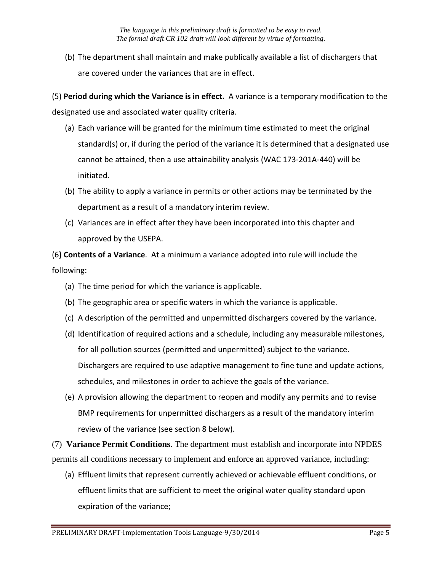(b) The department shall maintain and make publically available a list of dischargers that are covered under the variances that are in effect.

(5) **Period during which the Variance is in effect.** A variance is a temporary modification to the designated use and associated water quality criteria.

- (a) Each variance will be granted for the minimum time estimated to meet the original standard(s) or, if during the period of the variance it is determined that a designated use cannot be attained, then a use attainability analysis (WAC 173-201A-440) will be initiated.
- (b) The ability to apply a variance in permits or other actions may be terminated by the department as a result of a mandatory interim review.
- (c) Variances are in effect after they have been incorporated into this chapter and approved by the USEPA.

(6**) Contents of a Variance**. At a minimum a variance adopted into rule will include the following:

- (a) The time period for which the variance is applicable.
- (b) The geographic area or specific waters in which the variance is applicable.
- (c) A description of the permitted and unpermitted dischargers covered by the variance.
- (d) Identification of required actions and a schedule, including any measurable milestones, for all pollution sources (permitted and unpermitted) subject to the variance. Dischargers are required to use adaptive management to fine tune and update actions, schedules, and milestones in order to achieve the goals of the variance.
- (e) A provision allowing the department to reopen and modify any permits and to revise BMP requirements for unpermitted dischargers as a result of the mandatory interim review of the variance (see section 8 below).

(7) **Variance Permit Conditions**. The department must establish and incorporate into NPDES permits all conditions necessary to implement and enforce an approved variance, including:

(a) Effluent limits that represent currently achieved or achievable effluent conditions, or effluent limits that are sufficient to meet the original water quality standard upon expiration of the variance;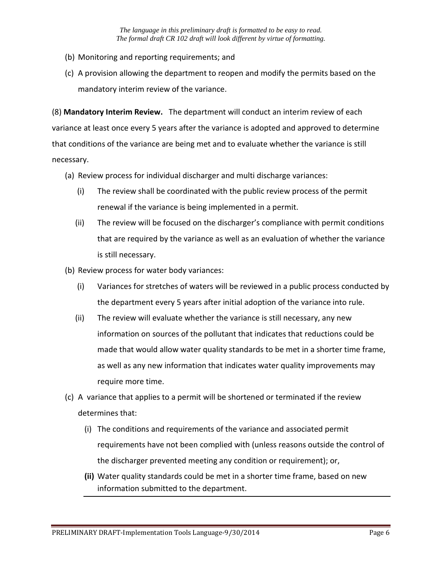- (b) Monitoring and reporting requirements; and
- (c) A provision allowing the department to reopen and modify the permits based on the mandatory interim review of the variance.

(8) **Mandatory Interim Review.** The department will conduct an interim review of each variance at least once every 5 years after the variance is adopted and approved to determine that conditions of the variance are being met and to evaluate whether the variance is still necessary.

- (a) Review process for individual discharger and multi discharge variances:
	- (i) The review shall be coordinated with the public review process of the permit renewal if the variance is being implemented in a permit.
	- (ii) The review will be focused on the discharger's compliance with permit conditions that are required by the variance as well as an evaluation of whether the variance is still necessary.
- (b) Review process for water body variances:
	- (i) Variances for stretches of waters will be reviewed in a public process conducted by the department every 5 years after initial adoption of the variance into rule.
	- (ii) The review will evaluate whether the variance is still necessary, any new information on sources of the pollutant that indicates that reductions could be made that would allow water quality standards to be met in a shorter time frame, as well as any new information that indicates water quality improvements may require more time.
- (c) A variance that applies to a permit will be shortened or terminated if the review determines that:
	- (i) The conditions and requirements of the variance and associated permit requirements have not been complied with (unless reasons outside the control of the discharger prevented meeting any condition or requirement); or,
	- **(ii)** Water quality standards could be met in a shorter time frame, based on new information submitted to the department.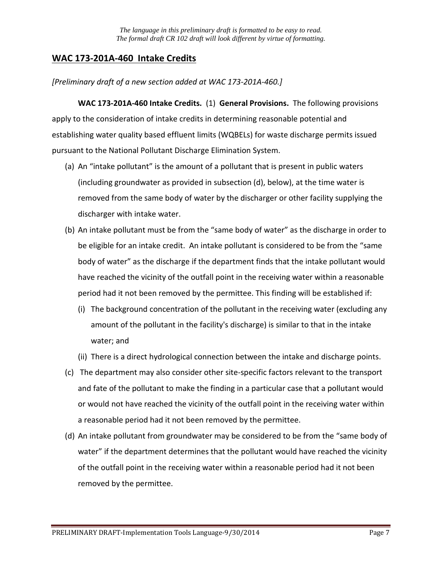## **WAC 173-201A-460 Intake Credits**

*[Preliminary draft of a new section added at WAC 173-201A-460.]*

**WAC 173-201A-460 Intake Credits.** (1) **General Provisions.** The following provisions apply to the consideration of intake credits in determining reasonable potential and establishing water quality based effluent limits (WQBELs) for waste discharge permits issued pursuant to the National Pollutant Discharge Elimination System.

- (a) An "intake pollutant" is the amount of a pollutant that is present in public waters (including groundwater as provided in subsection (d), below), at the time water is removed from the same body of water by the discharger or other facility supplying the discharger with intake water.
- (b) An intake pollutant must be from the "same body of water" as the discharge in order to be eligible for an intake credit. An intake pollutant is considered to be from the "same body of water" as the discharge if the department finds that the intake pollutant would have reached the vicinity of the outfall point in the receiving water within a reasonable period had it not been removed by the permittee. This finding will be established if:
	- (i) The background concentration of the pollutant in the receiving water (excluding any amount of the pollutant in the facility's discharge) is similar to that in the intake water; and
	- (ii) There is a direct hydrological connection between the intake and discharge points.
- (c) The department may also consider other site-specific factors relevant to the transport and fate of the pollutant to make the finding in a particular case that a pollutant would or would not have reached the vicinity of the outfall point in the receiving water within a reasonable period had it not been removed by the permittee.
- (d) An intake pollutant from groundwater may be considered to be from the "same body of water" if the department determines that the pollutant would have reached the vicinity of the outfall point in the receiving water within a reasonable period had it not been removed by the permittee.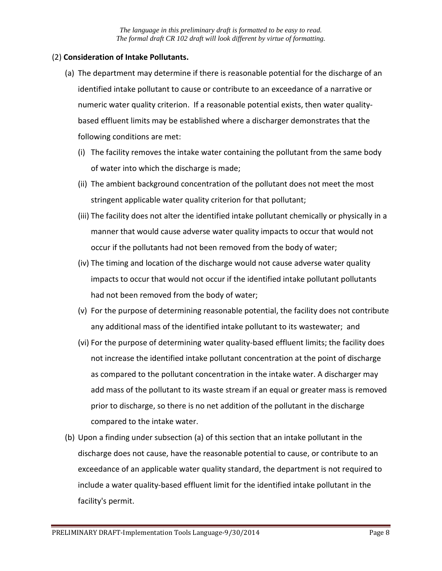## (2) **Consideration of Intake Pollutants.**

- (a) The department may determine if there is reasonable potential for the discharge of an identified intake pollutant to cause or contribute to an exceedance of a narrative or numeric water quality criterion. If a reasonable potential exists, then water qualitybased effluent limits may be established where a discharger demonstrates that the following conditions are met:
	- (i) The facility removes the intake water containing the pollutant from the same body of water into which the discharge is made;
	- (ii) The ambient background concentration of the pollutant does not meet the most stringent applicable water quality criterion for that pollutant;
	- (iii) The facility does not alter the identified intake pollutant chemically or physically in a manner that would cause adverse water quality impacts to occur that would not occur if the pollutants had not been removed from the body of water;
	- (iv) The timing and location of the discharge would not cause adverse water quality impacts to occur that would not occur if the identified intake pollutant pollutants had not been removed from the body of water;
	- (v) For the purpose of determining reasonable potential, the facility does not contribute any additional mass of the identified intake pollutant to its wastewater; and
	- (vi) For the purpose of determining water quality-based effluent limits; the facility does not increase the identified intake pollutant concentration at the point of discharge as compared to the pollutant concentration in the intake water. A discharger may add mass of the pollutant to its waste stream if an equal or greater mass is removed prior to discharge, so there is no net addition of the pollutant in the discharge compared to the intake water.
- (b) Upon a finding under subsection (a) of this section that an intake pollutant in the discharge does not cause, have the reasonable potential to cause, or contribute to an exceedance of an applicable water quality standard, the department is not required to include a water quality-based effluent limit for the identified intake pollutant in the facility's permit.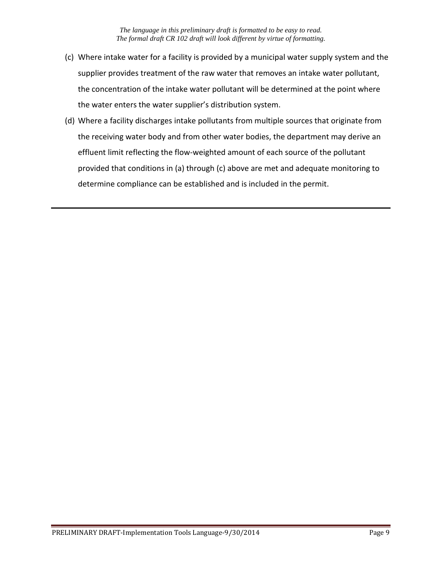- (c) Where intake water for a facility is provided by a municipal water supply system and the supplier provides treatment of the raw water that removes an intake water pollutant, the concentration of the intake water pollutant will be determined at the point where the water enters the water supplier's distribution system.
- (d) Where a facility discharges intake pollutants from multiple sources that originate from the receiving water body and from other water bodies, the department may derive an effluent limit reflecting the flow-weighted amount of each source of the pollutant provided that conditions in (a) through (c) above are met and adequate monitoring to determine compliance can be established and is included in the permit.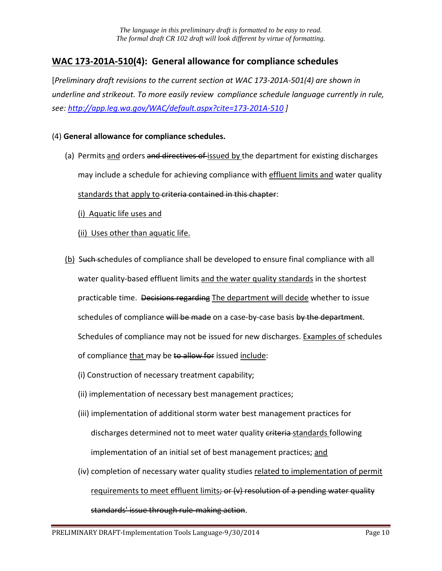# **WAC 173-201A-510(4): General allowance for compliance schedules**

[*Preliminary draft revisions to the current section at WAC 173-201A-501(4) are shown in underline and strikeout. To more easily review compliance schedule language currently in rule, see:<http://app.leg.wa.gov/WAC/default.aspx?cite=173-201A-510> ]*

#### (4) **General allowance for compliance schedules.**

(a) Permits and orders and directives of issued by the department for existing discharges may include a schedule for achieving compliance with effluent limits and water quality standards that apply to criteria contained in this chapter:

(i) Aquatic life uses and

(ii) Uses other than aquatic life.

- (b) Such schedules of compliance shall be developed to ensure final compliance with all water quality-based effluent limits and the water quality standards in the shortest practicable time. Decisions regarding The department will decide whether to issue schedules of compliance will be made on a case-by-case basis by the department. Schedules of compliance may not be issued for new discharges. Examples of schedules of compliance that may be to allow for issued include:
	- (i) Construction of necessary treatment capability;
	- (ii) implementation of necessary best management practices;
	- (iii) implementation of additional storm water best management practices for discharges determined not to meet water quality eriteria-standards following implementation of an initial set of best management practices; and
	- (iv) completion of necessary water quality studies related to implementation of permit requirements to meet effluent limits; or  $(v)$  resolution of a pending water quality standards' issue through rule-making action.